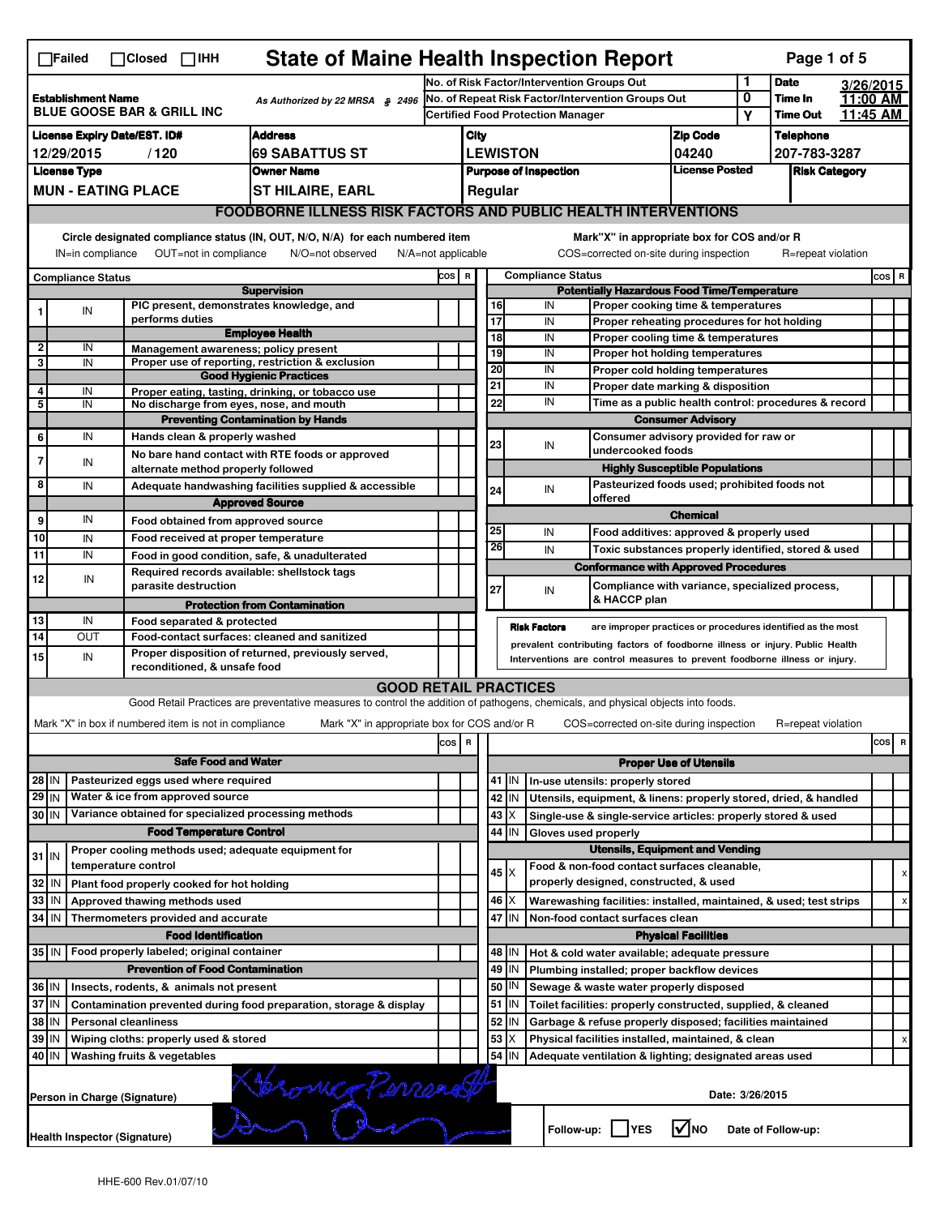| $\Box$ Failed<br>$\Box$ Closed<br>$\Box$ IHH |                                                                                                                                                                           |                                        |                                                                          | <b>State of Maine Health Inspection Report</b><br>Page 1 of 5                                                                     |     |      |                          |                     |                                            |                                                                                        |                                |                 |                    |                      |     |                           |
|----------------------------------------------|---------------------------------------------------------------------------------------------------------------------------------------------------------------------------|----------------------------------------|--------------------------------------------------------------------------|-----------------------------------------------------------------------------------------------------------------------------------|-----|------|--------------------------|---------------------|--------------------------------------------|----------------------------------------------------------------------------------------|--------------------------------|-----------------|--------------------|----------------------|-----|---------------------------|
|                                              |                                                                                                                                                                           |                                        |                                                                          |                                                                                                                                   |     |      |                          |                     | No. of Risk Factor/Intervention Groups Out |                                                                                        |                                | 1               | <b>Date</b>        | 3/26/2015            |     |                           |
|                                              | <b>Establishment Name</b><br>As Authorized by 22 MRSA § 2496<br><b>BLUE GOOSE BAR &amp; GRILL INC</b>                                                                     |                                        |                                                                          | No. of Repeat Risk Factor/Intervention Groups Out<br><b>Certified Food Protection Manager</b>                                     |     |      |                          |                     | 0                                          | Time In                                                                                | 11:00 AM                       |                 |                    |                      |     |                           |
|                                              | <b>License Expiry Date/EST. ID#</b>                                                                                                                                       |                                        |                                                                          |                                                                                                                                   |     |      |                          |                     |                                            |                                                                                        |                                | Υ               | Time Out           | 11:45 AM             |     |                           |
|                                              |                                                                                                                                                                           |                                        |                                                                          | <b>Address</b>                                                                                                                    |     | City |                          |                     |                                            |                                                                                        | <b>Zip Code</b>                |                 | Telephone          |                      |     |                           |
|                                              | 12/29/2015<br><b>License Type</b>                                                                                                                                         | /120                                   |                                                                          | <b>69 SABATTUS ST</b><br><b>Owner Name</b>                                                                                        |     |      |                          | <b>LEWISTON</b>     | <b>Purpose of Inspection</b>               |                                                                                        | 04240<br><b>License Posted</b> |                 | 207-783-3287       |                      |     |                           |
|                                              |                                                                                                                                                                           | <b>MUN - EATING PLACE</b>              |                                                                          |                                                                                                                                   |     |      |                          |                     |                                            |                                                                                        |                                |                 |                    | <b>Risk Category</b> |     |                           |
|                                              |                                                                                                                                                                           |                                        |                                                                          | <b>ST HILAIRE, EARL</b>                                                                                                           |     |      | Regular                  |                     |                                            |                                                                                        |                                |                 |                    |                      |     |                           |
|                                              |                                                                                                                                                                           |                                        |                                                                          | <b>FOODBORNE ILLNESS RISK FACTORS AND PUBLIC HEALTH INTERVENTIONS</b>                                                             |     |      |                          |                     |                                            |                                                                                        |                                |                 |                    |                      |     |                           |
|                                              | Circle designated compliance status (IN, OUT, N/O, N/A) for each numbered item<br>OUT=not in compliance<br>IN=in compliance<br>N/O=not observed<br>$N/A = not$ applicable |                                        |                                                                          |                                                                                                                                   |     |      |                          |                     |                                            | Mark"X" in appropriate box for COS and/or R<br>COS=corrected on-site during inspection |                                |                 | R=repeat violation |                      |     |                           |
| <b>Compliance Status</b>                     |                                                                                                                                                                           |                                        | COS R                                                                    |                                                                                                                                   |     |      | <b>Compliance Status</b> |                     |                                            |                                                                                        |                                |                 | $cos$ R            |                      |     |                           |
|                                              |                                                                                                                                                                           |                                        |                                                                          | <b>Supervision</b>                                                                                                                |     |      |                          |                     |                                            | <b>Potentially Hazardous Food Time/Temperature</b>                                     |                                |                 |                    |                      |     |                           |
| 1                                            | IN                                                                                                                                                                        |                                        | performs duties                                                          | PIC present, demonstrates knowledge, and                                                                                          |     |      | 16<br>17                 |                     | IN                                         | Proper cooking time & temperatures                                                     |                                |                 |                    |                      |     |                           |
|                                              |                                                                                                                                                                           |                                        |                                                                          | <b>Employee Health</b>                                                                                                            |     |      | $\overline{18}$          |                     | IN<br>IN                                   | Proper reheating procedures for hot holding<br>Proper cooling time & temperatures      |                                |                 |                    |                      |     |                           |
| $\mathbf 2$                                  | IN                                                                                                                                                                        |                                        |                                                                          | Management awareness; policy present                                                                                              |     |      | 19                       |                     | IN                                         | Proper hot holding temperatures                                                        |                                |                 |                    |                      |     |                           |
| 3                                            | IN                                                                                                                                                                        |                                        |                                                                          | Proper use of reporting, restriction & exclusion                                                                                  |     |      | 20                       |                     | IN                                         | Proper cold holding temperatures                                                       |                                |                 |                    |                      |     |                           |
| 4                                            |                                                                                                                                                                           |                                        |                                                                          | <b>Good Hygienic Practices</b>                                                                                                    |     |      | 21                       |                     | IN                                         | Proper date marking & disposition                                                      |                                |                 |                    |                      |     |                           |
| 5                                            | IN<br>IN                                                                                                                                                                  |                                        |                                                                          | Proper eating, tasting, drinking, or tobacco use<br>No discharge from eyes, nose, and mouth                                       |     |      | 22                       |                     | IN                                         | Time as a public health control: procedures & record                                   |                                |                 |                    |                      |     |                           |
|                                              |                                                                                                                                                                           |                                        |                                                                          | <b>Preventing Contamination by Hands</b>                                                                                          |     |      |                          |                     |                                            |                                                                                        | <b>Consumer Advisory</b>       |                 |                    |                      |     |                           |
| 6                                            | IN                                                                                                                                                                        |                                        | Hands clean & properly washed                                            |                                                                                                                                   |     |      |                          |                     |                                            | Consumer advisory provided for raw or                                                  |                                |                 |                    |                      |     |                           |
| 7                                            |                                                                                                                                                                           |                                        |                                                                          | No bare hand contact with RTE foods or approved                                                                                   |     |      | 23                       |                     | IN                                         | undercooked foods                                                                      |                                |                 |                    |                      |     |                           |
|                                              | IN                                                                                                                                                                        |                                        | alternate method properly followed                                       |                                                                                                                                   |     |      |                          |                     |                                            | <b>Highly Susceptible Populations</b>                                                  |                                |                 |                    |                      |     |                           |
| 8                                            | IN                                                                                                                                                                        |                                        |                                                                          | Adequate handwashing facilities supplied & accessible                                                                             |     |      | 24                       |                     | IN                                         | Pasteurized foods used; prohibited foods not                                           |                                |                 |                    |                      |     |                           |
|                                              |                                                                                                                                                                           |                                        |                                                                          | <b>Approved Source</b>                                                                                                            |     |      |                          |                     |                                            | offered                                                                                |                                |                 |                    |                      |     |                           |
| 9                                            | IN                                                                                                                                                                        |                                        | Food obtained from approved source                                       |                                                                                                                                   |     |      | 25                       |                     | IN                                         |                                                                                        | <b>Chemical</b>                |                 |                    |                      |     |                           |
| 10                                           | IN                                                                                                                                                                        |                                        | Food received at proper temperature                                      |                                                                                                                                   |     |      | 26                       |                     |                                            | Food additives: approved & properly used                                               |                                |                 |                    |                      |     |                           |
| 11                                           | IN                                                                                                                                                                        |                                        |                                                                          | Food in good condition, safe, & unadulterated                                                                                     |     |      |                          |                     | IN                                         | Toxic substances properly identified, stored & used                                    |                                |                 |                    |                      |     |                           |
| 12                                           | IN                                                                                                                                                                        |                                        |                                                                          | Required records available: shellstock tags                                                                                       |     |      |                          |                     |                                            | <b>Conformance with Approved Procedures</b>                                            |                                |                 |                    |                      |     |                           |
|                                              |                                                                                                                                                                           |                                        | parasite destruction                                                     |                                                                                                                                   |     |      | 27                       |                     | IN                                         | Compliance with variance, specialized process,                                         |                                |                 |                    |                      |     |                           |
|                                              |                                                                                                                                                                           |                                        |                                                                          |                                                                                                                                   |     |      |                          |                     |                                            |                                                                                        |                                |                 |                    |                      |     |                           |
|                                              |                                                                                                                                                                           |                                        |                                                                          | <b>Protection from Contamination</b>                                                                                              |     |      |                          |                     |                                            | & HACCP plan                                                                           |                                |                 |                    |                      |     |                           |
| 13                                           | IN                                                                                                                                                                        |                                        | Food separated & protected                                               |                                                                                                                                   |     |      |                          | <b>Risk Factors</b> |                                            | are improper practices or procedures identified as the most                            |                                |                 |                    |                      |     |                           |
| 14                                           | <b>OUT</b>                                                                                                                                                                |                                        |                                                                          | Food-contact surfaces: cleaned and sanitized                                                                                      |     |      |                          |                     |                                            | prevalent contributing factors of foodborne illness or injury. Public Health           |                                |                 |                    |                      |     |                           |
| 15                                           | IN                                                                                                                                                                        |                                        | reconditioned, & unsafe food                                             | Proper disposition of returned, previously served,                                                                                |     |      |                          |                     |                                            | Interventions are control measures to prevent foodborne illness or injury.             |                                |                 |                    |                      |     |                           |
|                                              |                                                                                                                                                                           |                                        |                                                                          | <b>GOOD RETAIL PRACTICES</b>                                                                                                      |     |      |                          |                     |                                            |                                                                                        |                                |                 |                    |                      |     |                           |
|                                              |                                                                                                                                                                           |                                        |                                                                          | Good Retail Practices are preventative measures to control the addition of pathogens, chemicals, and physical objects into foods. |     |      |                          |                     |                                            |                                                                                        |                                |                 |                    |                      |     |                           |
|                                              |                                                                                                                                                                           |                                        | Mark "X" in box if numbered item is not in compliance                    | Mark "X" in appropriate box for COS and/or R                                                                                      |     |      |                          |                     |                                            | COS=corrected on-site during inspection                                                |                                |                 | R=repeat violation |                      |     |                           |
|                                              |                                                                                                                                                                           |                                        |                                                                          |                                                                                                                                   |     | R    |                          |                     |                                            |                                                                                        |                                |                 |                    |                      | cos | $\overline{\mathbf{R}}$   |
|                                              |                                                                                                                                                                           |                                        |                                                                          |                                                                                                                                   | cos |      |                          |                     |                                            |                                                                                        |                                |                 |                    |                      |     |                           |
|                                              |                                                                                                                                                                           |                                        | <b>Safe Food and Water</b>                                               |                                                                                                                                   |     |      |                          |                     |                                            |                                                                                        | <b>Proper Use of Utensils</b>  |                 |                    |                      |     |                           |
| 28 IN                                        |                                                                                                                                                                           |                                        | Pasteurized eggs used where required<br>Water & ice from approved source |                                                                                                                                   |     |      |                          | 41 IN               |                                            | In-use utensils: properly stored                                                       |                                |                 |                    |                      |     |                           |
| 29 IN                                        |                                                                                                                                                                           |                                        |                                                                          |                                                                                                                                   |     |      |                          | 42 IN               |                                            | Utensils, equipment, & linens: properly stored, dried, & handled                       |                                |                 |                    |                      |     |                           |
| 30 IN                                        |                                                                                                                                                                           |                                        | <b>Food Temperature Control</b>                                          | Variance obtained for specialized processing methods                                                                              |     |      | $43 \times$              | 44 I IN             |                                            | Single-use & single-service articles: properly stored & used                           |                                |                 |                    |                      |     |                           |
|                                              |                                                                                                                                                                           |                                        |                                                                          | Proper cooling methods used; adequate equipment for                                                                               |     |      |                          |                     | Gloves used properly                       | <b>Utensils, Equipment and Vending</b>                                                 |                                |                 |                    |                      |     |                           |
| $31$ IN                                      |                                                                                                                                                                           | temperature control                    |                                                                          |                                                                                                                                   |     |      |                          |                     |                                            | Food & non-food contact surfaces cleanable,                                            |                                |                 |                    |                      |     |                           |
| 32 IN                                        |                                                                                                                                                                           |                                        | Plant food properly cooked for hot holding                               |                                                                                                                                   |     |      | $45 \mid X$              |                     |                                            | properly designed, constructed, & used                                                 |                                |                 |                    |                      |     | х                         |
| 33   IN                                      |                                                                                                                                                                           |                                        | Approved thawing methods used                                            |                                                                                                                                   |     |      | 46   X                   |                     |                                            | Warewashing facilities: installed, maintained, & used; test strips                     |                                |                 |                    |                      |     | $\boldsymbol{\mathsf{x}}$ |
| 34 IN                                        |                                                                                                                                                                           |                                        | Thermometers provided and accurate                                       |                                                                                                                                   |     |      | 47                       | IN                  |                                            | Non-food contact surfaces clean                                                        |                                |                 |                    |                      |     |                           |
|                                              |                                                                                                                                                                           |                                        | <b>Food Identification</b>                                               |                                                                                                                                   |     |      |                          |                     |                                            |                                                                                        | <b>Physical Facilities</b>     |                 |                    |                      |     |                           |
|                                              |                                                                                                                                                                           |                                        | 35 IN   Food properly labeled; original container                        |                                                                                                                                   |     |      |                          | 48   IN             |                                            | Hot & cold water available; adequate pressure                                          |                                |                 |                    |                      |     |                           |
|                                              |                                                                                                                                                                           |                                        | <b>Prevention of Food Contamination</b>                                  |                                                                                                                                   |     |      |                          | $49$ IN             |                                            | Plumbing installed; proper backflow devices                                            |                                |                 |                    |                      |     |                           |
| 36 IN                                        |                                                                                                                                                                           |                                        | Insects, rodents, & animals not present                                  |                                                                                                                                   |     |      | 50                       | IN                  |                                            | Sewage & waste water properly disposed                                                 |                                |                 |                    |                      |     |                           |
| 37 IN                                        |                                                                                                                                                                           |                                        |                                                                          | Contamination prevented during food preparation, storage & display                                                                |     |      |                          | $51$   IN           |                                            | Toilet facilities: properly constructed, supplied, & cleaned                           |                                |                 |                    |                      |     |                           |
| 38   IN                                      |                                                                                                                                                                           | <b>Personal cleanliness</b>            |                                                                          |                                                                                                                                   |     |      |                          | 52 IN               |                                            | Garbage & refuse properly disposed; facilities maintained                              |                                |                 |                    |                      |     |                           |
| 39 IN                                        |                                                                                                                                                                           |                                        | Wiping cloths: properly used & stored                                    |                                                                                                                                   |     |      | 53                       | X                   |                                            | Physical facilities installed, maintained, & clean                                     |                                |                 |                    |                      |     | x                         |
| 40 IN                                        |                                                                                                                                                                           | <b>Washing fruits &amp; vegetables</b> |                                                                          |                                                                                                                                   |     |      |                          | 54 IN               |                                            | Adequate ventilation & lighting; designated areas used                                 |                                |                 |                    |                      |     |                           |
|                                              |                                                                                                                                                                           |                                        |                                                                          |                                                                                                                                   |     |      |                          |                     |                                            |                                                                                        |                                |                 |                    |                      |     |                           |
|                                              |                                                                                                                                                                           | Person in Charge (Signature)           |                                                                          | Herome Perrenett                                                                                                                  |     |      |                          |                     |                                            |                                                                                        |                                | Date: 3/26/2015 |                    |                      |     |                           |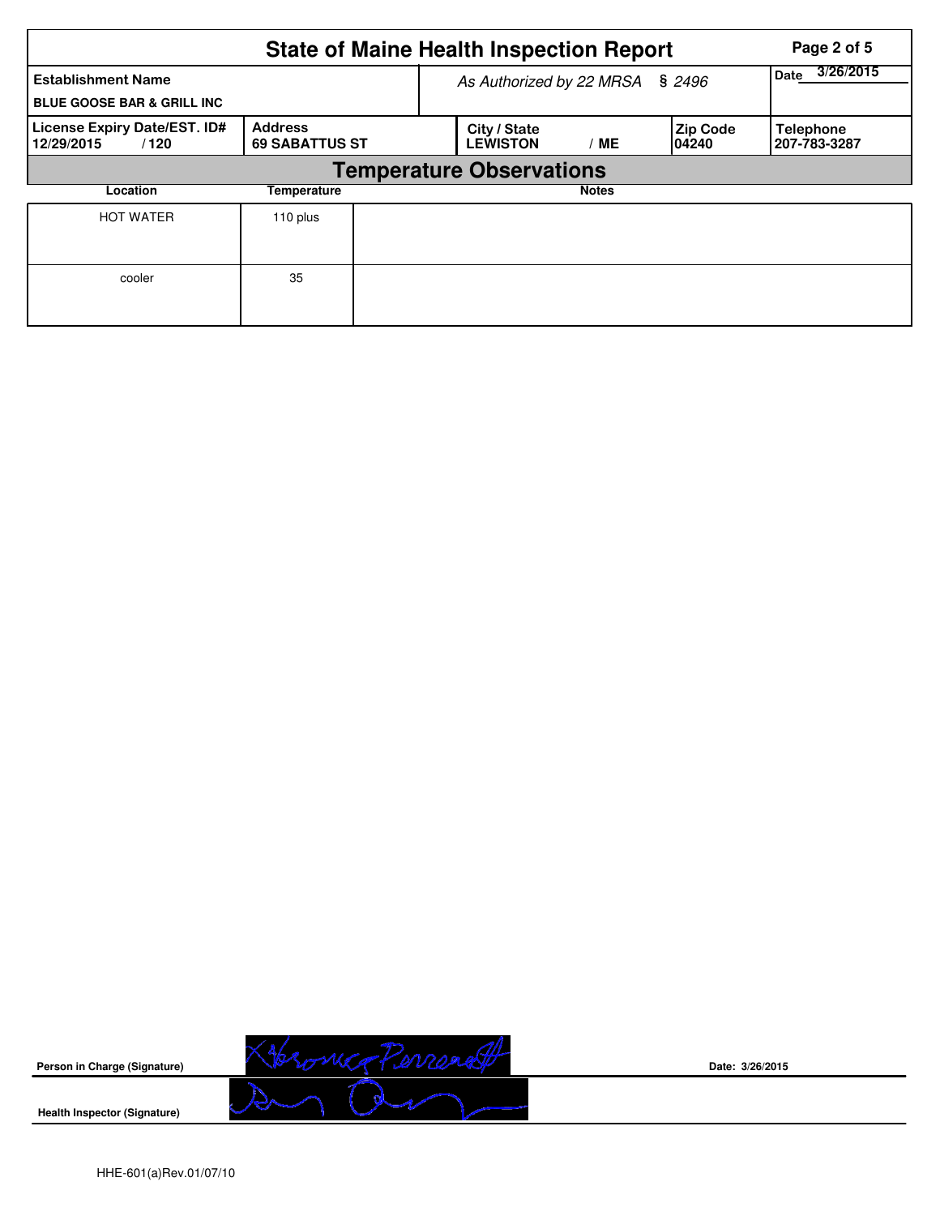|                                                                    |                                         |  | <b>State of Maine Health Inspection Report</b> |                   | Page 2 of 5               |                                  |
|--------------------------------------------------------------------|-----------------------------------------|--|------------------------------------------------|-------------------|---------------------------|----------------------------------|
| <b>Establishment Name</b><br><b>BLUE GOOSE BAR &amp; GRILL INC</b> |                                         |  | As Authorized by 22 MRSA § 2496                | 3/26/2015<br>Date |                           |                                  |
| License Expiry Date/EST. ID#<br>12/29/2015<br>/120                 | <b>Address</b><br><b>69 SABATTUS ST</b> |  | City / State<br><b>LEWISTON</b>                | /ME               | <b>Zip Code</b><br>104240 | <b>Telephone</b><br>207-783-3287 |
|                                                                    |                                         |  | <b>Temperature Observations</b>                |                   |                           |                                  |
| Location                                                           | Temperature                             |  |                                                | <b>Notes</b>      |                           |                                  |
| <b>HOT WATER</b>                                                   | 110 plus                                |  |                                                |                   |                           |                                  |
| cooler                                                             | 35                                      |  |                                                |                   |                           |                                  |



**Date: 3/26/2015**

**Health Inspector (Signature)**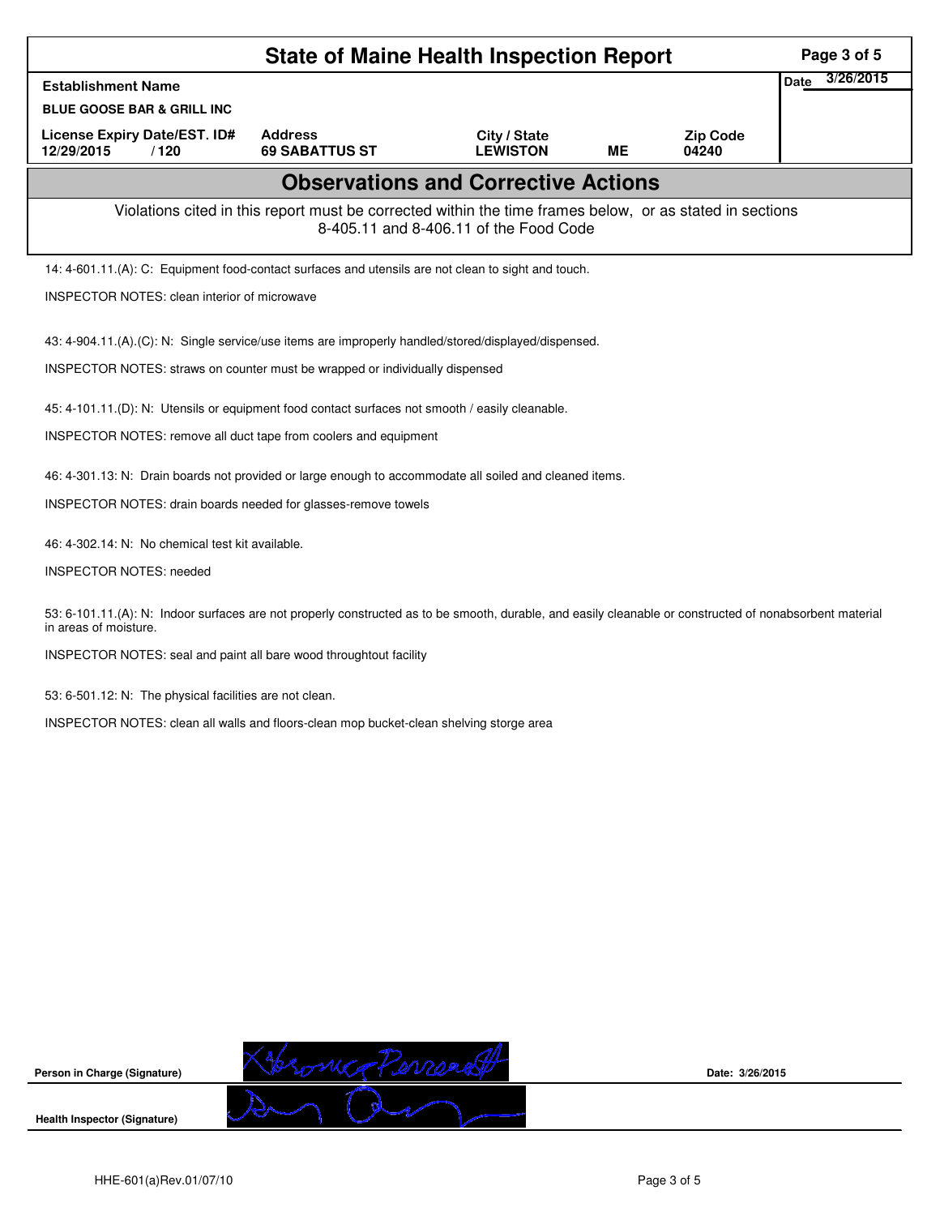|                                                                                                                                                                                   | <b>State of Maine Health Inspection Report</b>                                                           |                                            |           |                          | Page 3 of 5              |
|-----------------------------------------------------------------------------------------------------------------------------------------------------------------------------------|----------------------------------------------------------------------------------------------------------|--------------------------------------------|-----------|--------------------------|--------------------------|
| <b>Establishment Name</b>                                                                                                                                                         |                                                                                                          |                                            |           |                          | 3/26/2015<br><b>Date</b> |
| <b>BLUE GOOSE BAR &amp; GRILL INC</b>                                                                                                                                             |                                                                                                          |                                            |           |                          |                          |
| License Expiry Date/EST. ID#<br>12/29/2015<br>/120                                                                                                                                | <b>Address</b><br><b>69 SABATTUS ST</b>                                                                  | City / State<br><b>LEWISTON</b>            | <b>ME</b> | <b>Zip Code</b><br>04240 |                          |
|                                                                                                                                                                                   |                                                                                                          | <b>Observations and Corrective Actions</b> |           |                          |                          |
|                                                                                                                                                                                   | Violations cited in this report must be corrected within the time frames below, or as stated in sections | 8-405.11 and 8-406.11 of the Food Code     |           |                          |                          |
| 14: 4-601.11.(A): C: Equipment food-contact surfaces and utensils are not clean to sight and touch.                                                                               |                                                                                                          |                                            |           |                          |                          |
| <b>INSPECTOR NOTES: clean interior of microwave</b>                                                                                                                               |                                                                                                          |                                            |           |                          |                          |
| 43: 4-904.11.(A).(C): N: Single service/use items are improperly handled/stored/displayed/dispensed.                                                                              |                                                                                                          |                                            |           |                          |                          |
| INSPECTOR NOTES: straws on counter must be wrapped or individually dispensed                                                                                                      |                                                                                                          |                                            |           |                          |                          |
| 45: 4-101.11.(D): N: Utensils or equipment food contact surfaces not smooth / easily cleanable.                                                                                   |                                                                                                          |                                            |           |                          |                          |
| INSPECTOR NOTES: remove all duct tape from coolers and equipment                                                                                                                  |                                                                                                          |                                            |           |                          |                          |
|                                                                                                                                                                                   |                                                                                                          |                                            |           |                          |                          |
| 46: 4-301.13: N: Drain boards not provided or large enough to accommodate all soiled and cleaned items.<br>INSPECTOR NOTES: drain boards needed for glasses-remove towels         |                                                                                                          |                                            |           |                          |                          |
|                                                                                                                                                                                   |                                                                                                          |                                            |           |                          |                          |
| 46: 4-302.14: N: No chemical test kit available.                                                                                                                                  |                                                                                                          |                                            |           |                          |                          |
| <b>INSPECTOR NOTES: needed</b>                                                                                                                                                    |                                                                                                          |                                            |           |                          |                          |
| 53: 6-101.11.(A): N: Indoor surfaces are not properly constructed as to be smooth, durable, and easily cleanable or constructed of nonabsorbent material<br>in areas of moisture. |                                                                                                          |                                            |           |                          |                          |
| INSPECTOR NOTES: seal and paint all bare wood throughtout facility                                                                                                                |                                                                                                          |                                            |           |                          |                          |
| 53: 6-501.12: N: The physical facilities are not clean.                                                                                                                           |                                                                                                          |                                            |           |                          |                          |
| INSPECTOR NOTES: clean all walls and floors-clean mop bucket-clean shelving storge area                                                                                           |                                                                                                          |                                            |           |                          |                          |
|                                                                                                                                                                                   |                                                                                                          |                                            |           |                          |                          |
|                                                                                                                                                                                   |                                                                                                          |                                            |           |                          |                          |
|                                                                                                                                                                                   |                                                                                                          |                                            |           |                          |                          |
|                                                                                                                                                                                   |                                                                                                          |                                            |           |                          |                          |
|                                                                                                                                                                                   |                                                                                                          |                                            |           |                          |                          |
|                                                                                                                                                                                   |                                                                                                          |                                            |           |                          |                          |
|                                                                                                                                                                                   |                                                                                                          |                                            |           |                          |                          |

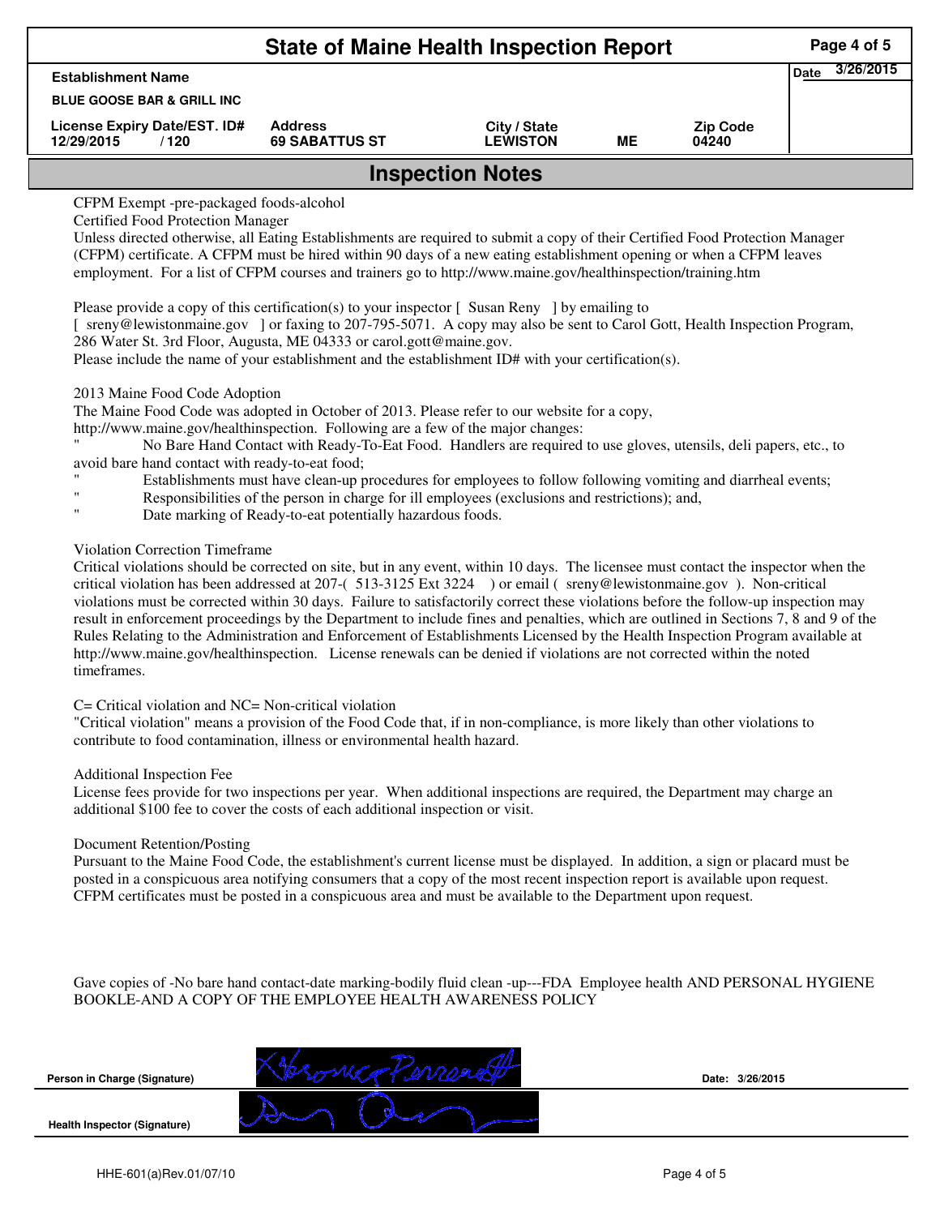|                                                    | Page 4 of 5                             |                                 |    |                          |                     |  |  |
|----------------------------------------------------|-----------------------------------------|---------------------------------|----|--------------------------|---------------------|--|--|
| <b>Establishment Name</b>                          |                                         |                                 |    |                          | 3/26/2015<br>' Date |  |  |
| <b>BLUE GOOSE BAR &amp; GRILL INC</b>              |                                         |                                 |    |                          |                     |  |  |
| License Expiry Date/EST. ID#<br>12/29/2015<br>/120 | <b>Address</b><br><b>69 SABATTUS ST</b> | City / State<br><b>LEWISTON</b> | ME | <b>Zip Code</b><br>04240 |                     |  |  |
| <b>Inspection Notes</b>                            |                                         |                                 |    |                          |                     |  |  |

CFPM Exempt -pre-packaged foods-alcohol

Certified Food Protection Manager

Unless directed otherwise, all Eating Establishments are required to submit a copy of their Certified Food Protection Manager (CFPM) certificate. A CFPM must be hired within 90 days of a new eating establishment opening or when a CFPM leaves employment. For a list of CFPM courses and trainers go to http://www.maine.gov/healthinspection/training.htm

Please provide a copy of this certification(s) to your inspector  $\lceil$  Susan Reny  $\rceil$  by emailing to

[ sreny@lewistonmaine.gov ] or faxing to 207-795-5071. A copy may also be sent to Carol Gott, Health Inspection Program, 286 Water St. 3rd Floor, Augusta, ME 04333 or carol.gott@maine.gov.

Please include the name of your establishment and the establishment ID# with your certification(s).

## 2013 Maine Food Code Adoption

The Maine Food Code was adopted in October of 2013. Please refer to our website for a copy,

http://www.maine.gov/healthinspection. Following are a few of the major changes:

" No Bare Hand Contact with Ready-To-Eat Food. Handlers are required to use gloves, utensils, deli papers, etc., to avoid bare hand contact with ready-to-eat food;

- Establishments must have clean-up procedures for employees to follow following vomiting and diarrheal events;
- " Responsibilities of the person in charge for ill employees (exclusions and restrictions); and,
- Date marking of Ready-to-eat potentially hazardous foods.

## Violation Correction Timeframe

Critical violations should be corrected on site, but in any event, within 10 days. The licensee must contact the inspector when the critical violation has been addressed at 207-( 513-3125 Ext 3224 ) or email ( sreny@lewistonmaine.gov ). Non-critical violations must be corrected within 30 days. Failure to satisfactorily correct these violations before the follow-up inspection may result in enforcement proceedings by the Department to include fines and penalties, which are outlined in Sections 7, 8 and 9 of the Rules Relating to the Administration and Enforcement of Establishments Licensed by the Health Inspection Program available at http://www.maine.gov/healthinspection. License renewals can be denied if violations are not corrected within the noted timeframes.

# C= Critical violation and NC= Non-critical violation

"Critical violation" means a provision of the Food Code that, if in non-compliance, is more likely than other violations to contribute to food contamination, illness or environmental health hazard.

### Additional Inspection Fee

License fees provide for two inspections per year. When additional inspections are required, the Department may charge an additional \$100 fee to cover the costs of each additional inspection or visit.

### Document Retention/Posting

Pursuant to the Maine Food Code, the establishment's current license must be displayed. In addition, a sign or placard must be posted in a conspicuous area notifying consumers that a copy of the most recent inspection report is available upon request. CFPM certificates must be posted in a conspicuous area and must be available to the Department upon request.

Gave copies of -No bare hand contact-date marking-bodily fluid clean -up---FDA Employee health AND PERSONAL HYGIENE BOOKLE-AND A COPY OF THE EMPLOYEE HEALTH AWARENESS POLICY

| Person in Charge (Signature)        | Date: 3/26/2015 |
|-------------------------------------|-----------------|
| <b>Health Inspector (Signature)</b> |                 |